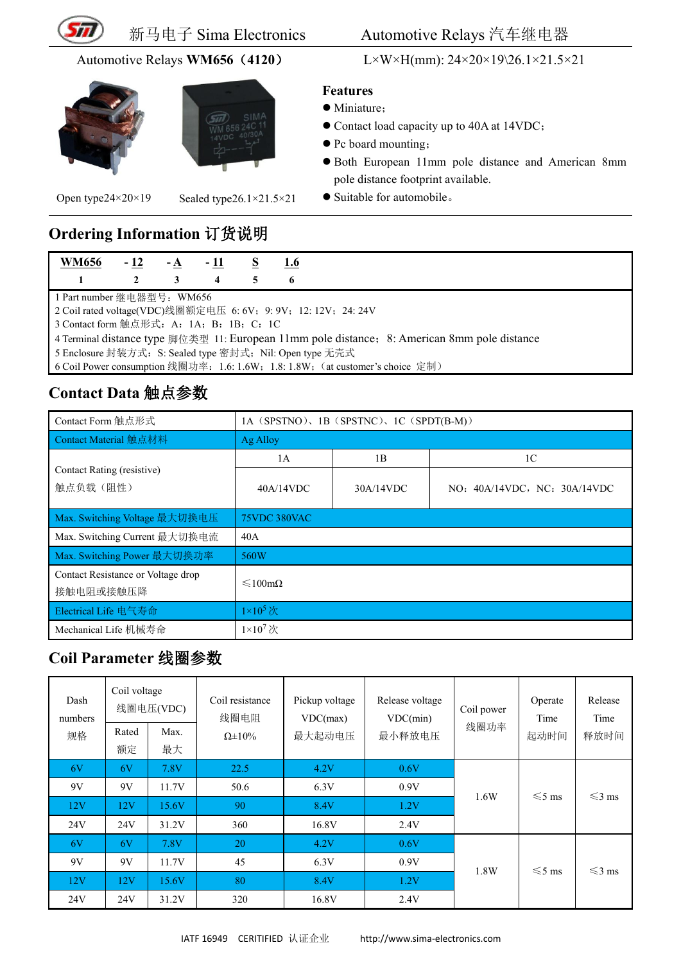





Open type24×20×19 Sealed type26.1×21.5×21

新马电子 Sima Electronics Automotive Relays 汽车继电器

Automotive Relays **WM656**(**4120**) L×W×H(mm): 24×20×19\26.1×21.5×21

#### **Features**

- Miniature;
- Contact load capacity up to 40A at 14VDC;
- Pc board mounting;
- Both European 11mm pole distance and American 8mm pole distance footprint available.
- Suitable for automobile.

# **Ordering Information** 订货说明

| <b>WM656</b>                                                                                 | $-12$ | $-A$ |                  |  | 1.6 |  |  |
|----------------------------------------------------------------------------------------------|-------|------|------------------|--|-----|--|--|
|                                                                                              |       |      | $\boldsymbol{4}$ |  | 6   |  |  |
| 1 Part number 继电器型号:WM656                                                                    |       |      |                  |  |     |  |  |
| 2 Coil rated voltage(VDC)线圈额定电压 6: 6V; 9: 9V; 12: 12V; 24: 24V                               |       |      |                  |  |     |  |  |
| 3 Contact form 触点形式: A: 1A; B: 1B; C: 1C                                                     |       |      |                  |  |     |  |  |
| 4 Terminal distance type 脚位类型 11: European 11mm pole distance; 8: American 8mm pole distance |       |      |                  |  |     |  |  |
| 5 Enclosure 封装方式: S: Sealed type 密封式; Nil: Open type 无壳式                                     |       |      |                  |  |     |  |  |
| 6 Coil Power consumption 线圈功率: 1.6: 1.6W; 1.8: 1.8W; (at customer's choice 定制)               |       |      |                  |  |     |  |  |

## **Contact Data** 触点参数

| Contact Form 触点形式                               | 1A (SPSTNO), 1B (SPSTNC), 1C (SPDT(B-M)) |           |                              |  |  |  |  |
|-------------------------------------------------|------------------------------------------|-----------|------------------------------|--|--|--|--|
| Contact Material 触点材料                           | Ag Alloy                                 |           |                              |  |  |  |  |
|                                                 | 1A                                       | 1B        | 1 <sup>C</sup>               |  |  |  |  |
| Contact Rating (resistive)<br>触点负载(阻性)          | 40A/14VDC                                | 30A/14VDC | NO: 40A/14VDC, NC: 30A/14VDC |  |  |  |  |
| Max. Switching Voltage 最大切换电压                   | <b>75VDC 380VAC</b>                      |           |                              |  |  |  |  |
| Max. Switching Current 最大切换电流                   | 40A                                      |           |                              |  |  |  |  |
| Max. Switching Power 最大切换功率                     | 560W                                     |           |                              |  |  |  |  |
| Contact Resistance or Voltage drop<br>接触电阻或接触压降 | $\leq 100 \text{m}\Omega$                |           |                              |  |  |  |  |
| Electrical Life 电气寿命                            | $1\times10^5$ 次                          |           |                              |  |  |  |  |
| Mechanical Life 机械寿命                            | $1\times10^7$ 次                          |           |                              |  |  |  |  |

### **Coil Parameter** 线圈参数

| Dash<br>numbers<br>规格 | Coil voltage<br>Rated<br>额定 | 线圈电压(VDC)<br>Max.<br>最大 | Coil resistance<br>线圈电阻<br>$\Omega \pm 10\%$ | Pickup voltage<br>VDC(max)<br>最大起动电压 | Release voltage<br>VDC(min)<br>最小释放电压 | Coil power<br>线圈功率 | Operate<br>Time<br>起动时间 | Release<br>Time<br>释放时间 |
|-----------------------|-----------------------------|-------------------------|----------------------------------------------|--------------------------------------|---------------------------------------|--------------------|-------------------------|-------------------------|
| 6V                    | 6V                          | 7.8V                    | 22.5                                         | 4.2V                                 | 0.6V                                  |                    |                         |                         |
| 9V                    | 9V                          | 11.7V                   | 50.6                                         | 6.3V                                 | 0.9V                                  | 1.6W               | $\leq 5$ ms             | $\leq$ 3 ms             |
| 12V                   | 12V                         | 15.6V                   | 90                                           | 8.4V                                 | 1.2V                                  |                    |                         |                         |
| 24V                   | 24V                         | 31.2V                   | 360                                          | 16.8V                                | 2.4V                                  |                    |                         |                         |
| 6V                    | 6V                          | 7.8V                    | 20                                           | 4.2V                                 | 0.6V                                  |                    |                         |                         |
| 9V                    | 9V                          | 11.7V                   | 45                                           | 6.3V                                 | 0.9V                                  | 1.8W               | $\leq 5$ ms             | $\leq$ 3 ms             |
| 12V                   | 12V                         | 15.6V                   | 80                                           | 8.4V                                 | 1.2V                                  |                    |                         |                         |
| 24V                   | 24V                         | 31.2V                   | 320                                          | 16.8V                                | 2.4V                                  |                    |                         |                         |